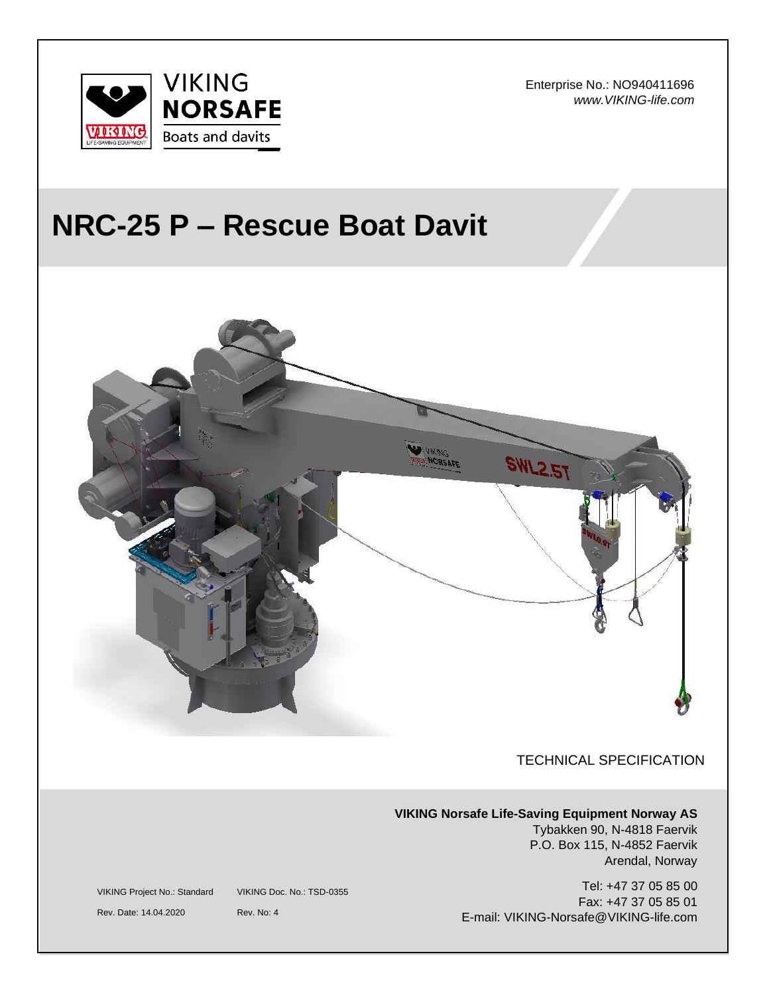

Enterprise No.: NO940411696 *www.VIKING-life.com*

# **NRC-25 P – Rescue Boat Davit**



P.O. Box 115, N-4852 Faervik Arendal, Norway

Tel: +47 37 05 85 00 Fax: +47 37 05 85 01 E-mail: VIKING-Norsafe@VIKING-life.com

VIKING Project No.: Standard VIKING Doc. No.: TSD-0355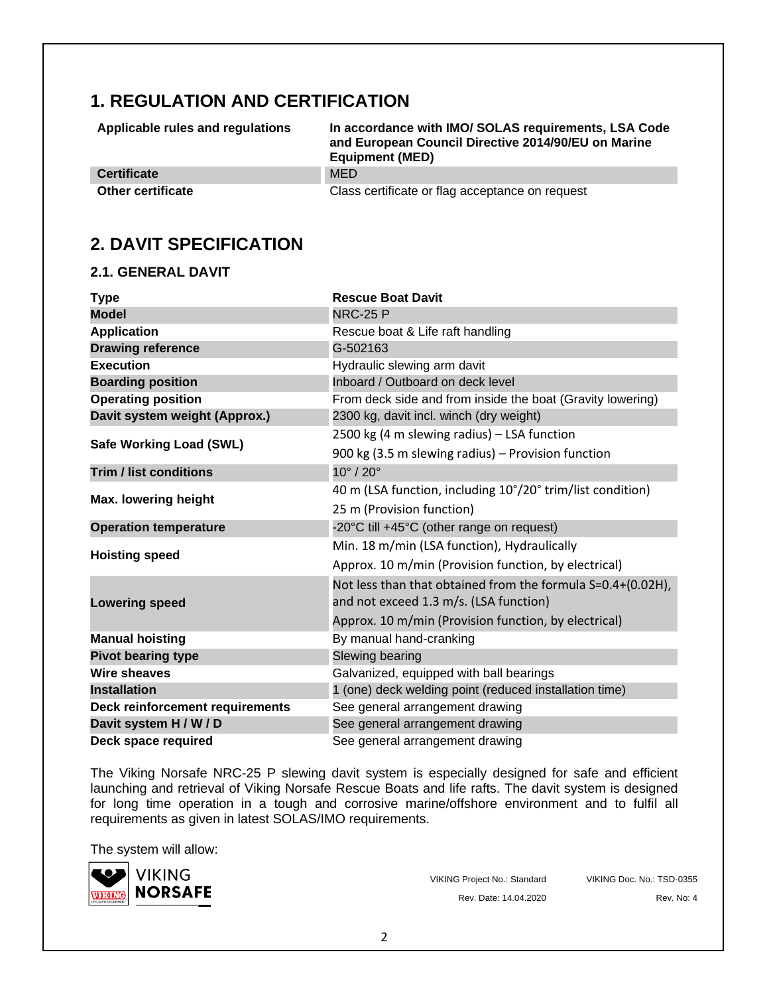# **1. REGULATION AND CERTIFICATION**

| Applicable rules and regulations | In accordance with IMO/SOLAS requirements, LSA Code<br>and European Council Directive 2014/90/EU on Marine<br><b>Equipment (MED)</b> |
|----------------------------------|--------------------------------------------------------------------------------------------------------------------------------------|
| <b>Certificate</b>               | <b>MED</b>                                                                                                                           |
| <b>Other certificate</b>         | Class certificate or flag acceptance on request                                                                                      |

### **2. DAVIT SPECIFICATION**

#### **2.1. GENERAL DAVIT**

| <b>Type</b>                     | <b>Rescue Boat Davit</b>                                    |
|---------------------------------|-------------------------------------------------------------|
| <b>Model</b>                    | <b>NRC-25 P</b>                                             |
| <b>Application</b>              | Rescue boat & Life raft handling                            |
| <b>Drawing reference</b>        | G-502163                                                    |
| <b>Execution</b>                | Hydraulic slewing arm davit                                 |
| <b>Boarding position</b>        | Inboard / Outboard on deck level                            |
| <b>Operating position</b>       | From deck side and from inside the boat (Gravity lowering)  |
| Davit system weight (Approx.)   | 2300 kg, davit incl. winch (dry weight)                     |
| <b>Safe Working Load (SWL)</b>  | 2500 kg (4 m slewing radius) - LSA function                 |
|                                 | 900 kg (3.5 m slewing radius) - Provision function          |
| <b>Trim / list conditions</b>   | $10^{\circ}$ / $20^{\circ}$                                 |
| <b>Max. lowering height</b>     | 40 m (LSA function, including 10°/20° trim/list condition)  |
|                                 | 25 m (Provision function)                                   |
| <b>Operation temperature</b>    | -20°C till +45°C (other range on request)                   |
|                                 | Min. 18 m/min (LSA function), Hydraulically                 |
| <b>Hoisting speed</b>           | Approx. 10 m/min (Provision function, by electrical)        |
|                                 | Not less than that obtained from the formula S=0.4+(0.02H), |
| <b>Lowering speed</b>           | and not exceed 1.3 m/s. (LSA function)                      |
|                                 | Approx. 10 m/min (Provision function, by electrical)        |
| <b>Manual hoisting</b>          | By manual hand-cranking                                     |
| <b>Pivot bearing type</b>       | Slewing bearing                                             |
| <b>Wire sheaves</b>             | Galvanized, equipped with ball bearings                     |
| <b>Installation</b>             | 1 (one) deck welding point (reduced installation time)      |
| Deck reinforcement requirements | See general arrangement drawing                             |
| Davit system H / W / D          | See general arrangement drawing                             |
| Deck space required             | See general arrangement drawing                             |

The Viking Norsafe NRC-25 P slewing davit system is especially designed for safe and efficient launching and retrieval of Viking Norsafe Rescue Boats and life rafts. The davit system is designed for long time operation in a tough and corrosive marine/offshore environment and to fulfil all requirements as given in latest SOLAS/IMO requirements.

The system will allow:



VIKING Project No.: Standard VIKING Doc. No.: TSD-0355 Rev. Date: 14.04.2020 Rev. No: 4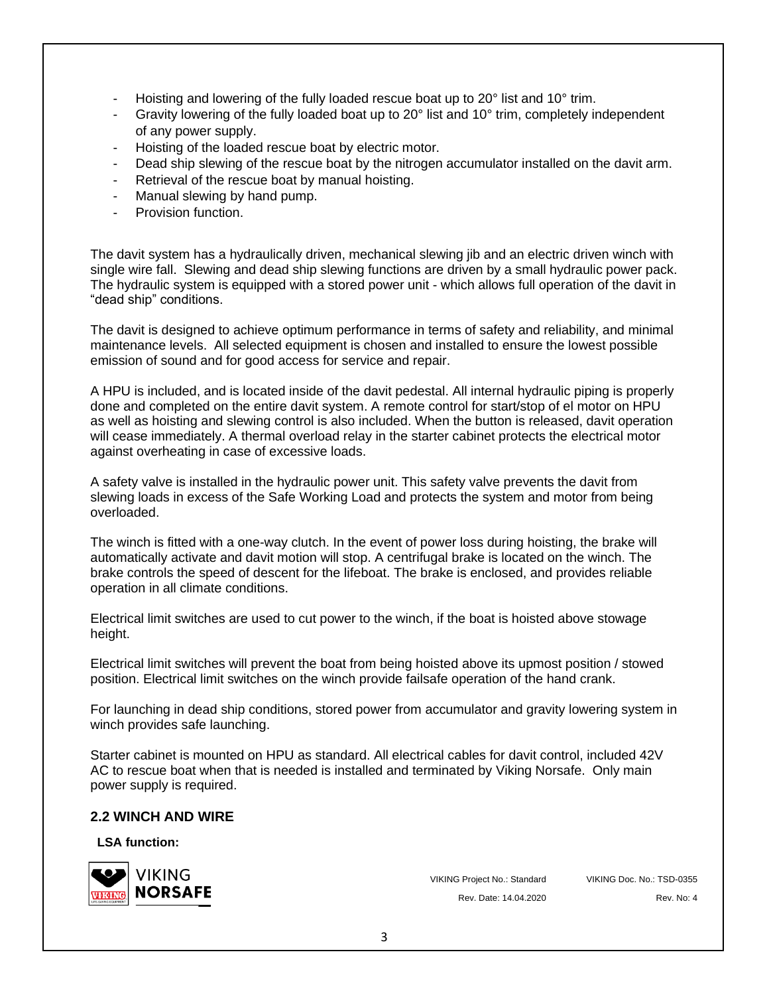- Hoisting and lowering of the fully loaded rescue boat up to 20° list and 10° trim.
- Gravity lowering of the fully loaded boat up to 20° list and 10° trim, completely independent of any power supply.
- Hoisting of the loaded rescue boat by electric motor.
- Dead ship slewing of the rescue boat by the nitrogen accumulator installed on the davit arm.
- Retrieval of the rescue boat by manual hoisting.
- Manual slewing by hand pump.
- Provision function.

The davit system has a hydraulically driven, mechanical slewing jib and an electric driven winch with single wire fall. Slewing and dead ship slewing functions are driven by a small hydraulic power pack. The hydraulic system is equipped with a stored power unit - which allows full operation of the davit in "dead ship" conditions.

The davit is designed to achieve optimum performance in terms of safety and reliability, and minimal maintenance levels. All selected equipment is chosen and installed to ensure the lowest possible emission of sound and for good access for service and repair.

A HPU is included, and is located inside of the davit pedestal. All internal hydraulic piping is properly done and completed on the entire davit system. A remote control for start/stop of el motor on HPU as well as hoisting and slewing control is also included. When the button is released, davit operation will cease immediately. A thermal overload relay in the starter cabinet protects the electrical motor against overheating in case of excessive loads.

A safety valve is installed in the hydraulic power unit. This safety valve prevents the davit from slewing loads in excess of the Safe Working Load and protects the system and motor from being overloaded.

The winch is fitted with a one-way clutch. In the event of power loss during hoisting, the brake will automatically activate and davit motion will stop. A centrifugal brake is located on the winch. The brake controls the speed of descent for the lifeboat. The brake is enclosed, and provides reliable operation in all climate conditions.

Electrical limit switches are used to cut power to the winch, if the boat is hoisted above stowage height.

Electrical limit switches will prevent the boat from being hoisted above its upmost position / stowed position. Electrical limit switches on the winch provide failsafe operation of the hand crank.

For launching in dead ship conditions, stored power from accumulator and gravity lowering system in winch provides safe launching.

Starter cabinet is mounted on HPU as standard. All electrical cables for davit control, included 42V AC to rescue boat when that is needed is installed and terminated by Viking Norsafe. Only main power supply is required.

#### **2.2 WINCH AND WIRE**

**LSA function:**



VIKING Project No.: Standard VIKING Doc. No.: TSD-0355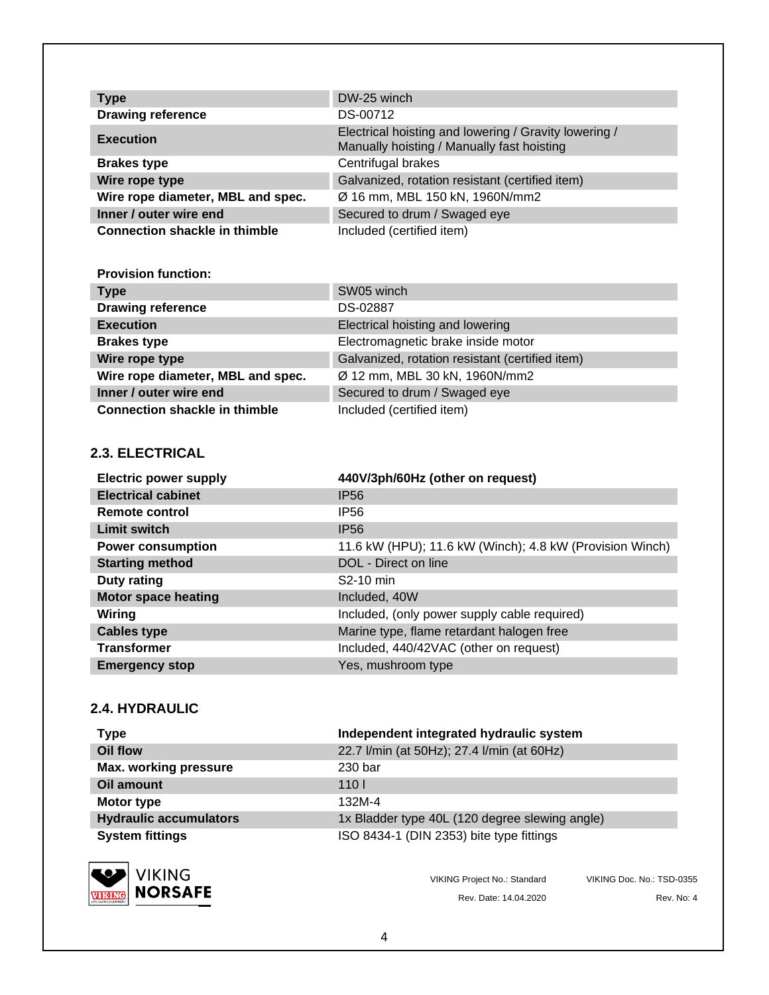| <b>Type</b>                          | DW-25 winch                                                                                         |
|--------------------------------------|-----------------------------------------------------------------------------------------------------|
| <b>Drawing reference</b>             | DS-00712                                                                                            |
| <b>Execution</b>                     | Electrical hoisting and lowering / Gravity lowering /<br>Manually hoisting / Manually fast hoisting |
| <b>Brakes type</b>                   | Centrifugal brakes                                                                                  |
| Wire rope type                       | Galvanized, rotation resistant (certified item)                                                     |
| Wire rope diameter, MBL and spec.    | Ø 16 mm, MBL 150 kN, 1960N/mm2                                                                      |
| Inner / outer wire end               | Secured to drum / Swaged eye                                                                        |
| <b>Connection shackle in thimble</b> | Included (certified item)                                                                           |

#### **Provision function:**

| <b>Type</b>                          | SW05 winch                                      |
|--------------------------------------|-------------------------------------------------|
| <b>Drawing reference</b>             | DS-02887                                        |
| <b>Execution</b>                     | Electrical hoisting and lowering                |
| <b>Brakes type</b>                   | Electromagnetic brake inside motor              |
| Wire rope type                       | Galvanized, rotation resistant (certified item) |
| Wire rope diameter, MBL and spec.    | Ø 12 mm, MBL 30 kN, 1960N/mm2                   |
| Inner / outer wire end               | Secured to drum / Swaged eye                    |
| <b>Connection shackle in thimble</b> | Included (certified item)                       |

#### **2.3. ELECTRICAL**

| <b>Electric power supply</b> | 440V/3ph/60Hz (other on request)                         |
|------------------------------|----------------------------------------------------------|
| <b>Electrical cabinet</b>    | <b>IP56</b>                                              |
| Remote control               | <b>IP56</b>                                              |
| Limit switch                 | <b>IP56</b>                                              |
| <b>Power consumption</b>     | 11.6 kW (HPU); 11.6 kW (Winch); 4.8 kW (Provision Winch) |
| <b>Starting method</b>       | DOL - Direct on line                                     |
| <b>Duty rating</b>           | S2-10 min                                                |
| <b>Motor space heating</b>   | Included, 40W                                            |
| Wiring                       | Included, (only power supply cable required)             |
| <b>Cables type</b>           | Marine type, flame retardant halogen free                |
| <b>Transformer</b>           | Included, 440/42VAC (other on request)                   |
| <b>Emergency stop</b>        | Yes, mushroom type                                       |

#### **2.4. HYDRAULIC**

| <b>Type</b>                   | Independent integrated hydraulic system        |
|-------------------------------|------------------------------------------------|
| Oil flow                      | 22.7 I/min (at 50Hz); 27.4 I/min (at 60Hz)     |
| <b>Max. working pressure</b>  | 230 bar                                        |
| Oil amount                    | 110 <sub>l</sub>                               |
| Motor type                    | 132M-4                                         |
| <b>Hydraulic accumulators</b> | 1x Bladder type 40L (120 degree slewing angle) |
| <b>System fittings</b>        | ISO 8434-1 (DIN 2353) bite type fittings       |



VIKING Project No.: Standard VIKING Doc. No.: TSD-0355 Rev. Date: 14.04.2020 Rev. No: 4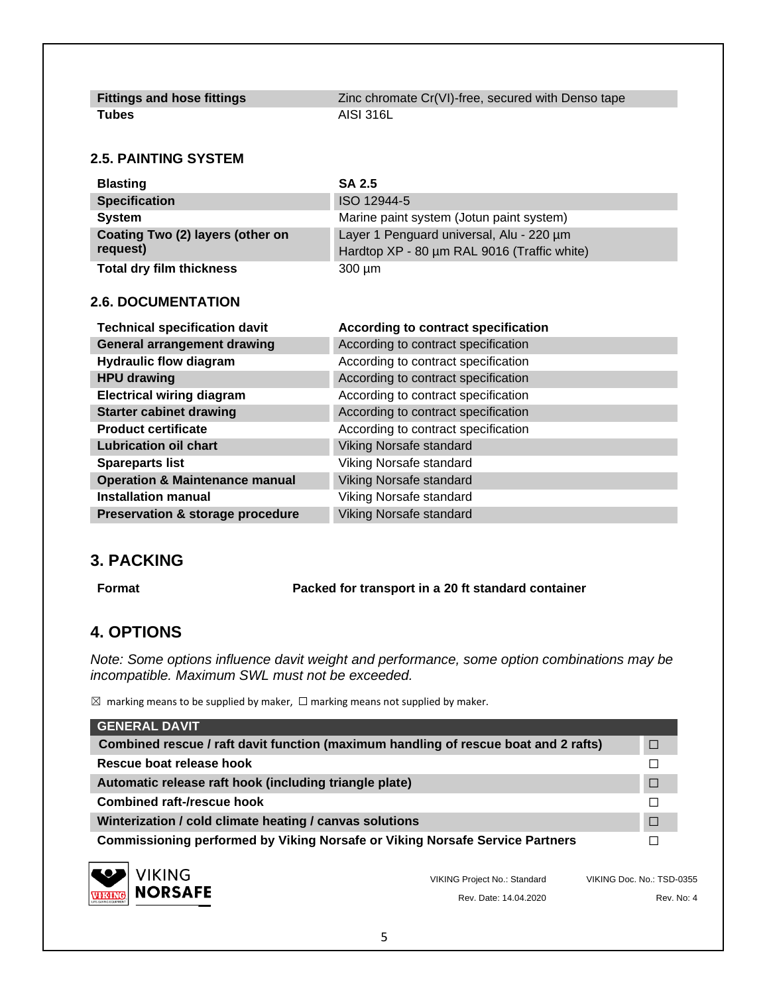| <b>Fittings and hose fittings</b> | Zinc chromate Cr(VI)-free, secured with Denso tape |
|-----------------------------------|----------------------------------------------------|
| Tubes                             | AISI 316L                                          |

#### **2.5. PAINTING SYSTEM**

| <b>Blasting</b>                  | <b>SA 2.5</b>                               |
|----------------------------------|---------------------------------------------|
| <b>Specification</b>             | ISO 12944-5                                 |
| <b>System</b>                    | Marine paint system (Jotun paint system)    |
| Coating Two (2) layers (other on | Layer 1 Penguard universal, Alu - 220 um    |
| request)                         | Hardtop XP - 80 µm RAL 9016 (Traffic white) |
| <b>Total dry film thickness</b>  | $300 \mu m$                                 |

#### **2.6. DOCUMENTATION**

| <b>Technical specification davit</b>        | According to contract specification |
|---------------------------------------------|-------------------------------------|
| <b>General arrangement drawing</b>          | According to contract specification |
| <b>Hydraulic flow diagram</b>               | According to contract specification |
| <b>HPU drawing</b>                          | According to contract specification |
| <b>Electrical wiring diagram</b>            | According to contract specification |
| <b>Starter cabinet drawing</b>              | According to contract specification |
| <b>Product certificate</b>                  | According to contract specification |
| <b>Lubrication oil chart</b>                | Viking Norsafe standard             |
| <b>Spareparts list</b>                      | Viking Norsafe standard             |
| <b>Operation &amp; Maintenance manual</b>   | Viking Norsafe standard             |
| <b>Installation manual</b>                  | Viking Norsafe standard             |
| <b>Preservation &amp; storage procedure</b> | Viking Norsafe standard             |

#### **3. PACKING**

**Format Packed for transport in a 20 ft standard container**

#### **4. OPTIONS**

*Note: Some options influence davit weight and performance, some option combinations may be incompatible. Maximum SWL must not be exceeded.*

 $\boxtimes$  marking means to be supplied by maker,  $\Box$  marking means not supplied by maker.

| <b>GENERAL DAVIT</b>                                                                |                              |                           |
|-------------------------------------------------------------------------------------|------------------------------|---------------------------|
| Combined rescue / raft davit function (maximum handling of rescue boat and 2 rafts) |                              | П                         |
| Rescue boat release hook                                                            |                              |                           |
| Automatic release raft hook (including triangle plate)                              |                              | $\Box$                    |
| <b>Combined raft-/rescue hook</b>                                                   |                              |                           |
| Winterization / cold climate heating / canvas solutions                             |                              | $\Box$                    |
| <b>Commissioning performed by Viking Norsafe or Viking Norsafe Service Partners</b> |                              |                           |
| <b>VIKING</b><br><b>NORSAFE</b>                                                     | VIKING Project No.: Standard | VIKING Doc. No.: TSD-0355 |
|                                                                                     | Rev. Date: 14.04.2020        | Rev. No: 4                |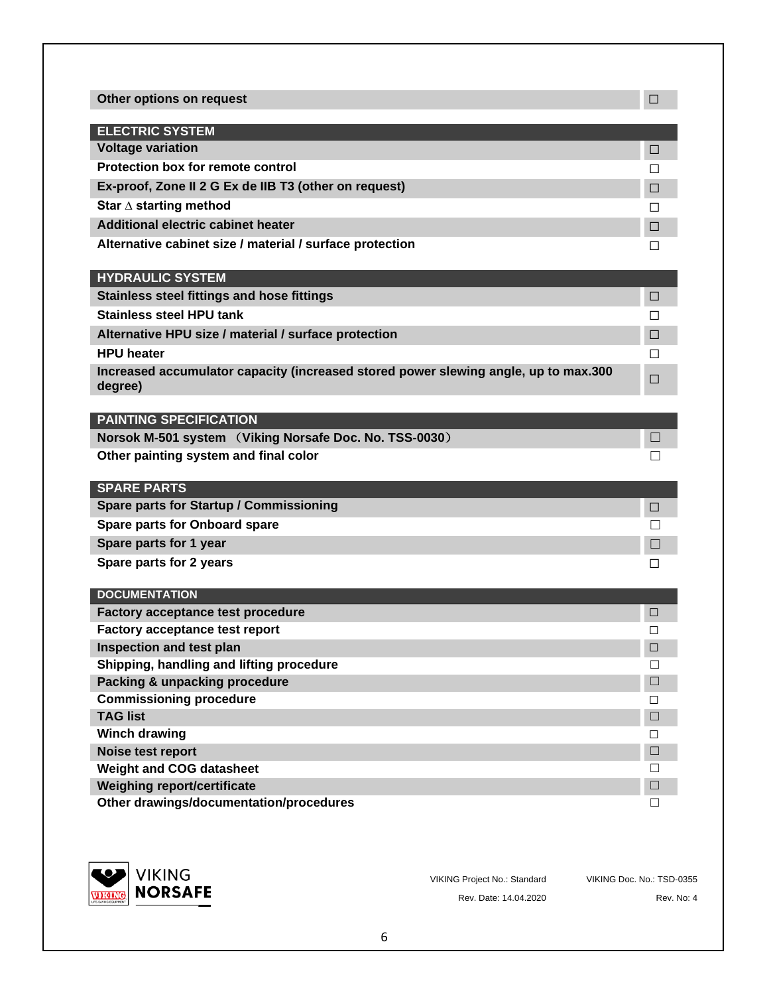| <b>ELECTRIC SYSTEM</b>                                                                                                                                                                                                                                                                                                                                                                                  |              |
|---------------------------------------------------------------------------------------------------------------------------------------------------------------------------------------------------------------------------------------------------------------------------------------------------------------------------------------------------------------------------------------------------------|--------------|
| <b>Voltage variation</b>                                                                                                                                                                                                                                                                                                                                                                                | □            |
| <b>Protection box for remote control</b>                                                                                                                                                                                                                                                                                                                                                                | П            |
| Ex-proof, Zone II 2 G Ex de IIB T3 (other on request)                                                                                                                                                                                                                                                                                                                                                   | □            |
| Star $\Delta$ starting method                                                                                                                                                                                                                                                                                                                                                                           | П            |
| <b>Additional electric cabinet heater</b>                                                                                                                                                                                                                                                                                                                                                               |              |
|                                                                                                                                                                                                                                                                                                                                                                                                         | □            |
| Alternative cabinet size / material / surface protection                                                                                                                                                                                                                                                                                                                                                | ΙI           |
| <b>HYDRAULIC SYSTEM</b>                                                                                                                                                                                                                                                                                                                                                                                 |              |
| <b>Stainless steel fittings and hose fittings</b>                                                                                                                                                                                                                                                                                                                                                       | $\Box$       |
| <b>Stainless steel HPU tank</b>                                                                                                                                                                                                                                                                                                                                                                         | П            |
| Alternative HPU size / material / surface protection                                                                                                                                                                                                                                                                                                                                                    | $\Box$       |
| <b>HPU</b> heater                                                                                                                                                                                                                                                                                                                                                                                       | ΙI           |
| Increased accumulator capacity (increased stored power slewing angle, up to max.300<br>degree)                                                                                                                                                                                                                                                                                                          | $\Box$       |
| <b>PAINTING SPECIFICATION</b>                                                                                                                                                                                                                                                                                                                                                                           |              |
| Norsok M-501 system (Viking Norsafe Doc. No. TSS-0030)                                                                                                                                                                                                                                                                                                                                                  |              |
| Other painting system and final color                                                                                                                                                                                                                                                                                                                                                                   |              |
|                                                                                                                                                                                                                                                                                                                                                                                                         |              |
| <b>SPARE PARTS</b>                                                                                                                                                                                                                                                                                                                                                                                      |              |
| Spare parts for Startup / Commissioning                                                                                                                                                                                                                                                                                                                                                                 | $\Box$       |
|                                                                                                                                                                                                                                                                                                                                                                                                         |              |
|                                                                                                                                                                                                                                                                                                                                                                                                         | $\Box$       |
|                                                                                                                                                                                                                                                                                                                                                                                                         |              |
|                                                                                                                                                                                                                                                                                                                                                                                                         | $\mathsf{L}$ |
|                                                                                                                                                                                                                                                                                                                                                                                                         |              |
|                                                                                                                                                                                                                                                                                                                                                                                                         |              |
|                                                                                                                                                                                                                                                                                                                                                                                                         | □<br>□       |
|                                                                                                                                                                                                                                                                                                                                                                                                         | $\Box$       |
|                                                                                                                                                                                                                                                                                                                                                                                                         | H            |
|                                                                                                                                                                                                                                                                                                                                                                                                         | $\Box$       |
|                                                                                                                                                                                                                                                                                                                                                                                                         | □            |
|                                                                                                                                                                                                                                                                                                                                                                                                         | $\Box$       |
| <b>Spare parts for Onboard spare</b><br>Spare parts for 1 year<br>Spare parts for 2 years<br><b>DOCUMENTATION</b><br><b>Factory acceptance test procedure</b><br><b>Factory acceptance test report</b><br>Inspection and test plan<br>Shipping, handling and lifting procedure<br><b>Packing &amp; unpacking procedure</b><br><b>Commissioning procedure</b><br><b>TAG list</b><br><b>Winch drawing</b> | □            |
| Noise test report                                                                                                                                                                                                                                                                                                                                                                                       | $\Box$       |
| <b>Weight and COG datasheet</b>                                                                                                                                                                                                                                                                                                                                                                         | П            |
| Weighing report/certificate<br>Other drawings/documentation/procedures                                                                                                                                                                                                                                                                                                                                  | $\Box$       |



VIKING Project No.: Standard VIKING Doc. No.: TSD-0355